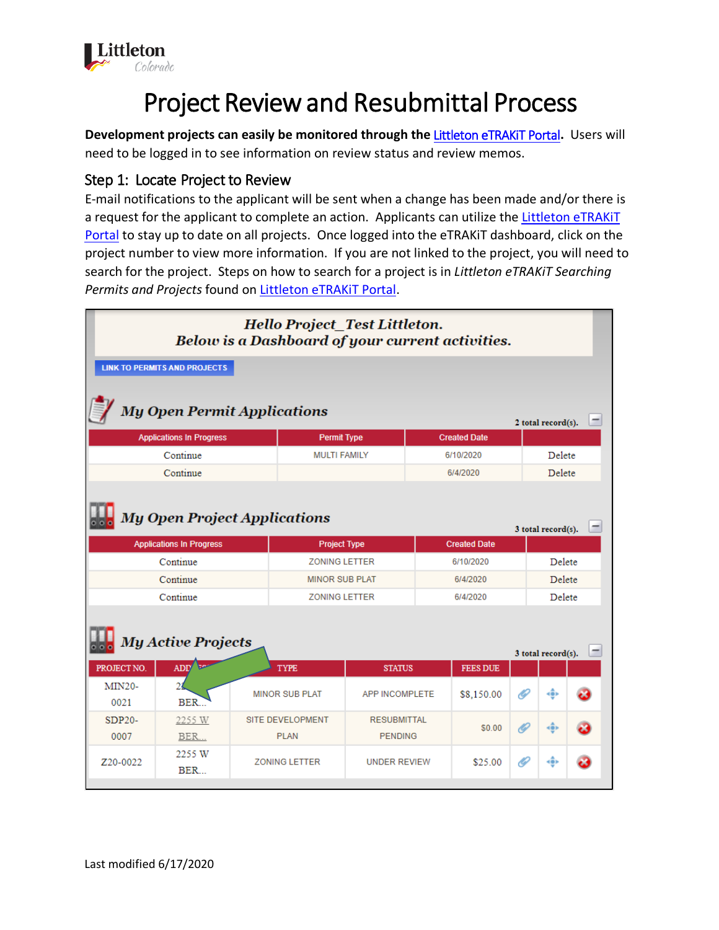

# Project Review and Resubmittal Process

**Development projects can easily be monitored through the** [Littleton eTRAKiT Portal](https://permit9.littletongov.org/eTRAKiT)**.** Users will need to be logged in to see information on review status and review memos.

# Step 1: Locate Project to Review

E-mail notifications to the applicant will be sent when a change has been made and/or there is a request for the applicant to complete an action. Applicants can utilize the Littleton eTRAKIT [Portal](https://permit9.littletongov.org/eTRAKiT) to stay up to date on all projects. Once logged into the eTRAKiT dashboard, click on the project number to view more information. If you are not linked to the project, you will need to search for the project. Steps on how to search for a project is in *Littleton eTRAKiT Searching Permits and Projects* found on [Littleton eTRAKiT Portal.](https://permit9.littletongov.org/eTRAKiT)

| Hello Project_Test Littleton.<br>Below is a Dashboard of your current activities. |                                             |  |                                                |                                             |           |                 |                    |                    |  |  |
|-----------------------------------------------------------------------------------|---------------------------------------------|--|------------------------------------------------|---------------------------------------------|-----------|-----------------|--------------------|--------------------|--|--|
|                                                                                   | <b>LINK TO PERMITS AND PROJECTS</b>         |  |                                                |                                             |           |                 |                    |                    |  |  |
| <b>My Open Permit Applications</b>                                                |                                             |  |                                                |                                             |           |                 | 2 total record(s). |                    |  |  |
|                                                                                   | <b>Applications In Progress</b>             |  |                                                | <b>Permit Type</b>                          |           |                 |                    |                    |  |  |
|                                                                                   | Continue                                    |  | <b>MULTI FAMILY</b>                            |                                             | 6/10/2020 |                 | Delete             |                    |  |  |
|                                                                                   | Continue                                    |  |                                                |                                             |           | 6/4/2020        |                    | Delete             |  |  |
| <b>My Open Project Applications</b><br><b>Created Date</b>                        |                                             |  |                                                |                                             |           |                 | 3 total record(s). |                    |  |  |
|                                                                                   | <b>Applications In Progress</b><br>Continue |  |                                                | <b>Project Type</b><br><b>ZONING LETTER</b> |           |                 |                    | Delete             |  |  |
|                                                                                   | Continue                                    |  |                                                | <b>MINOR SUB PLAT</b>                       |           |                 |                    | <b>Delete</b>      |  |  |
|                                                                                   | Continue                                    |  |                                                | <b>ZONING LETTER</b>                        |           |                 |                    | Delete             |  |  |
|                                                                                   | <b>My Active Projects</b>                   |  |                                                |                                             |           |                 |                    | 3 total record(s). |  |  |
| PROJECT NO.                                                                       | ADD <sup>1</sup>                            |  | <b>TYPE</b>                                    | <b>STATUS</b>                               |           | <b>FEES DUE</b> |                    |                    |  |  |
| <b>MIN20-</b><br>0021                                                             | $\overline{\mathbf{2}}$<br>BER.             |  | <b>MINOR SUB PLAT</b><br><b>APP INCOMPLETE</b> |                                             |           | \$8,150.00      | 16                 | (ĝ)                |  |  |
| $SDP20-$                                                                          | 2255 W                                      |  | SITE DEVELOPMENT<br><b>RESUBMITTAL</b>         |                                             |           | \$0.00          | O                  | <ê>                |  |  |
| 0007<br>Z <sub>20</sub> -00 <sub>22</sub>                                         | BER<br>2255 W<br>BER                        |  | <b>PLAN</b><br><b>ZONING LETTER</b>            | <b>PENDING</b><br><b>UNDER REVIEW</b>       |           | \$25.00         | O                  | <ê)                |  |  |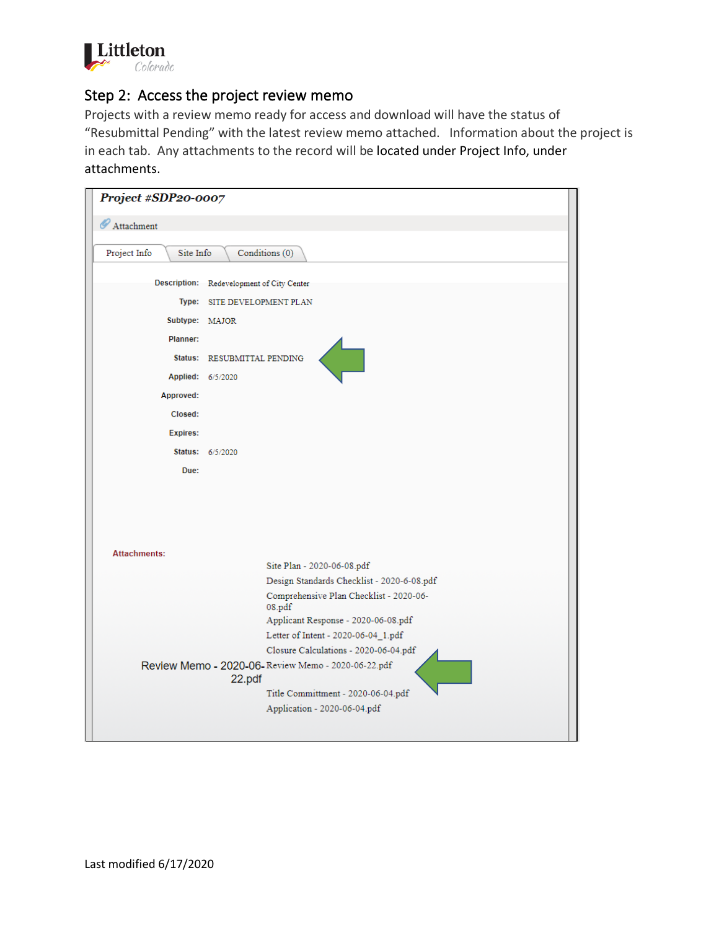

# Step 2: Access the project review memo

Projects with a review memo ready for access and download will have the status of "Resubmittal Pending" with the latest review memo attached. Information about the project is in each tab. Any attachments to the record will be located under Project Info, under attachments.

|                                             | Project #SDP20-0007                                           |  |  |  |  |  |
|---------------------------------------------|---------------------------------------------------------------|--|--|--|--|--|
| Attachment                                  |                                                               |  |  |  |  |  |
| Conditions (0)<br>Project Info<br>Site Info |                                                               |  |  |  |  |  |
|                                             |                                                               |  |  |  |  |  |
|                                             | Description: Redevelopment of City Center                     |  |  |  |  |  |
|                                             | Type: SITE DEVELOPMENT PLAN                                   |  |  |  |  |  |
| Subtype: MAJOR                              |                                                               |  |  |  |  |  |
| Planner:                                    |                                                               |  |  |  |  |  |
|                                             | Status: RESUBMITTAL PENDING                                   |  |  |  |  |  |
|                                             | Applied: 6/5/2020                                             |  |  |  |  |  |
| Approved:                                   |                                                               |  |  |  |  |  |
| Closed:                                     |                                                               |  |  |  |  |  |
| <b>Expires:</b>                             |                                                               |  |  |  |  |  |
|                                             | Status: 6/5/2020                                              |  |  |  |  |  |
| Due:                                        |                                                               |  |  |  |  |  |
|                                             |                                                               |  |  |  |  |  |
|                                             |                                                               |  |  |  |  |  |
|                                             |                                                               |  |  |  |  |  |
|                                             |                                                               |  |  |  |  |  |
| <b>Attachments:</b>                         | Site Plan - 2020-06-08.pdf                                    |  |  |  |  |  |
|                                             | Design Standards Checklist - 2020-6-08.pdf                    |  |  |  |  |  |
|                                             | Comprehensive Plan Checklist - 2020-06-<br>08.pdf             |  |  |  |  |  |
|                                             | Applicant Response - 2020-06-08.pdf                           |  |  |  |  |  |
|                                             | Letter of Intent - 2020-06-04_1.pdf                           |  |  |  |  |  |
|                                             | Closure Calculations - 2020-06-04.pdf                         |  |  |  |  |  |
|                                             | Review Memo - 2020-06- Review Memo - 2020-06-22.pdf<br>22.pdf |  |  |  |  |  |
|                                             | Title Committment - 2020-06-04.pdf                            |  |  |  |  |  |
|                                             | Application - 2020-06-04.pdf                                  |  |  |  |  |  |
|                                             |                                                               |  |  |  |  |  |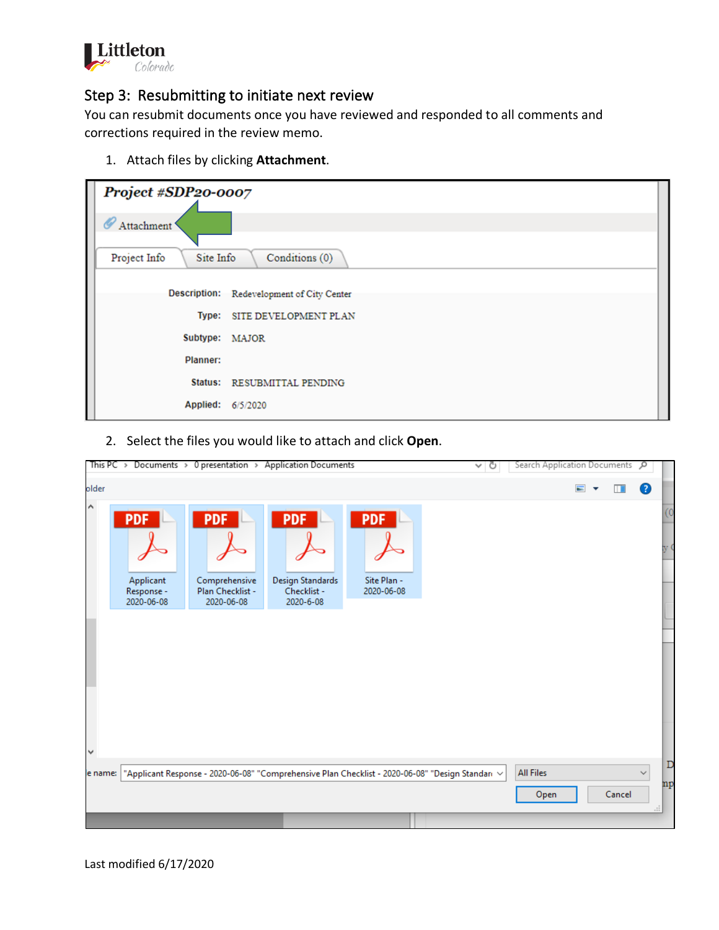

#### Step 3: Resubmitting to initiate next review

You can resubmit documents once you have reviewed and responded to all comments and corrections required in the review memo.

1. Attach files by clicking **Attachment**.

| Project #SDP20-0007                         |                                           |  |  |  |  |
|---------------------------------------------|-------------------------------------------|--|--|--|--|
| ∥<br>Attachment <sup>'</sup>                |                                           |  |  |  |  |
|                                             |                                           |  |  |  |  |
| Project Info<br>Conditions (0)<br>Site Info |                                           |  |  |  |  |
|                                             |                                           |  |  |  |  |
|                                             | Description: Redevelopment of City Center |  |  |  |  |
|                                             | Type: SITE DEVELOPMENT PLAN               |  |  |  |  |
| Subtype: MAJOR                              |                                           |  |  |  |  |
| Planner:                                    |                                           |  |  |  |  |
|                                             | Status: RESUBMITTAL PENDING               |  |  |  |  |
| Applied: 6/5/2020                           |                                           |  |  |  |  |

2. Select the files you would like to attach and click **Open**.

|           | This PC > Documents > 0 presentation > Application Documents<br>৺ ু |                                                               |                                                            |                                         | Search Application Documents P                                                                        |                          |                              |         |    |
|-----------|---------------------------------------------------------------------|---------------------------------------------------------------|------------------------------------------------------------|-----------------------------------------|-------------------------------------------------------------------------------------------------------|--------------------------|------------------------------|---------|----|
| older     |                                                                     |                                                               |                                                            |                                         |                                                                                                       | $\equiv$                 | $\overline{\mathbf{v}}$<br>m | 3       |    |
| Α         | <b>PDF</b><br>Applicant<br>Response -<br>2020-06-08                 | <b>PDF</b><br>Comprehensive<br>Plan Checklist -<br>2020-06-08 | <b>PDF</b><br>Design Standards<br>Checklist -<br>2020-6-08 | <b>PDF</b><br>Site Plan -<br>2020-06-08 |                                                                                                       |                          |                              |         | 60 |
| $\forall$ |                                                                     |                                                               |                                                            |                                         |                                                                                                       |                          |                              |         | D  |
| e name:   |                                                                     |                                                               |                                                            |                                         | "Applicant Response - 2020-06-08" "Comprehensive Plan Checklist - 2020-06-08" "Design Standari $\sim$ | <b>All Files</b><br>Open | Cancel                       | ∨<br>п. | np |
|           |                                                                     |                                                               |                                                            |                                         |                                                                                                       |                          |                              |         |    |